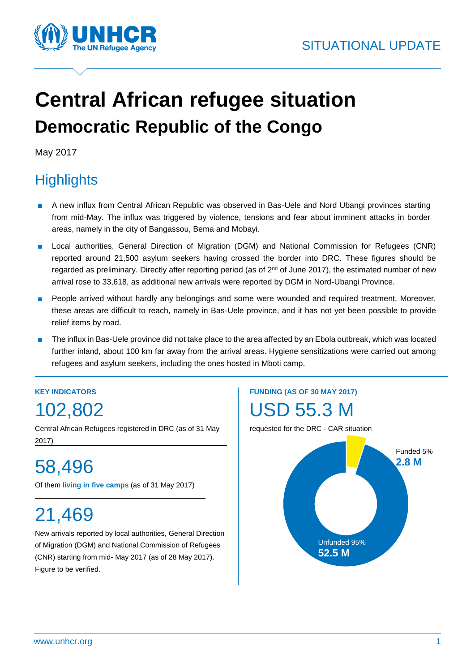

# **Central African refugee situation mDemocratic Republic of the Congo**

May 2017

## **Highlights**

- A new influx from Central African Republic was observed in Bas-Uele and Nord Ubangi provinces starting from mid-May. The influx was triggered by violence, tensions and fear about imminent attacks in border areas, namely in the city of Bangassou, Bema and Mobayi.
- Local authorities, General Direction of Migration (DGM) and National Commission for Refugees (CNR) reported around 21,500 asylum seekers having crossed the border into DRC. These figures should be regarded as preliminary. Directly after reporting period (as of 2<sup>nd</sup> of June 2017), the estimated number of new arrival rose to 33,618, as additional new arrivals were reported by DGM in Nord-Ubangi Province.
- People arrived without hardly any belongings and some were wounded and required treatment. Moreover, these areas are difficult to reach, namely in Bas-Uele province, and it has not yet been possible to provide relief items by road.
- The influx in Bas-Uele province did not take place to the area affected by an Ebola outbreak, which was located further inland, about 100 km far away from the arrival areas. Hygiene sensitizations were carried out among refugees and asylum seekers, including the ones hosted in Mboti camp.

## **KEY INDICATORS**

## 102,802

Central African Refugees registered in DRC (as of 31 May 2017)

# 58,496

Of them **living in five camps** (as of 31 May 2017)

# 21,469

New arrivals reported by local authorities, General Direction of Migration (DGM) and National Commission of Refugees (CNR) starting from mid- May 2017 (as of 28 May 2017). Figure to be verified.

## **FUNDING (AS OF 30 MAY 2017)** USD 55.3 M

requested for the DRC - CAR situation

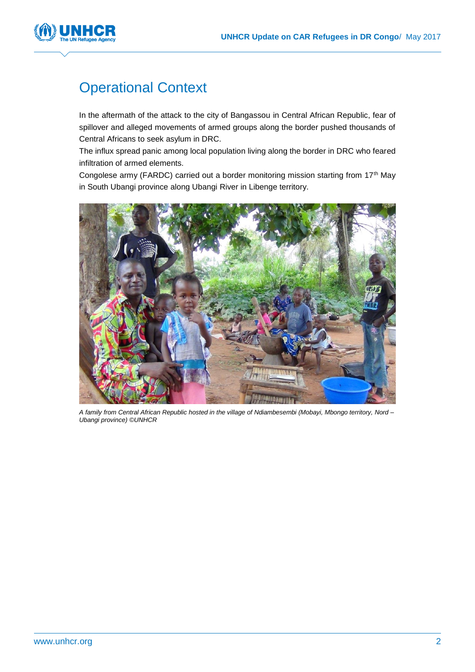

## Operational Context

In the aftermath of the attack to the city of Bangassou in Central African Republic, fear of spillover and alleged movements of armed groups along the border pushed thousands of Central Africans to seek asylum in DRC.

The influx spread panic among local population living along the border in DRC who feared infiltration of armed elements.

Congolese army (FARDC) carried out a border monitoring mission starting from 17th May in South Ubangi province along Ubangi River in Libenge territory.



*A family from Central African Republic hosted in the village of Ndiambesembi (Mobayi, Mbongo territory, Nord – Ubangi province) ©UNHCR*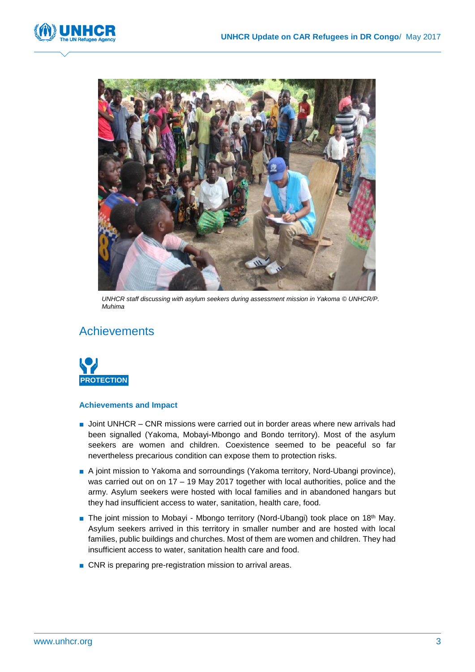



*UNHCR staff discussing with asylum seekers during assessment mission in Yakoma © UNHCR/P. Muhima*

### **Achievements**



#### **Achievements and Impact**

- Joint UNHCR CNR missions were carried out in border areas where new arrivals had been signalled (Yakoma, Mobayi-Mbongo and Bondo territory). Most of the asylum seekers are women and children. Coexistence seemed to be peaceful so far nevertheless precarious condition can expose them to protection risks.
- A joint mission to Yakoma and sorroundings (Yakoma territory, Nord-Ubangi province), was carried out on on 17 – 19 May 2017 together with local authorities, police and the army. Asylum seekers were hosted with local families and in abandoned hangars but they had insufficient access to water, sanitation, health care, food.
- The joint mission to Mobayi Mbongo territory (Nord-Ubangi) took place on 18<sup>th</sup> May. Asylum seekers arrived in this territory in smaller number and are hosted with local families, public buildings and churches. Most of them are women and children. They had insufficient access to water, sanitation health care and food.
- CNR is preparing pre-registration mission to arrival areas.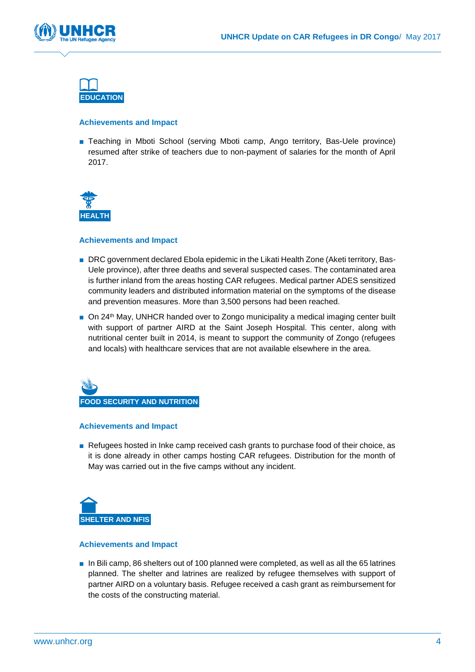



#### **Achievements and Impact**

■ Teaching in Mboti School (serving Mboti camp, Ango territory, Bas-Uele province) resumed after strike of teachers due to non-payment of salaries for the month of April 2017.



#### **Achievements and Impact**

- DRC government declared Ebola epidemic in the Likati Health Zone (Aketi territory, Bas-Uele province), after three deaths and several suspected cases. The contaminated area is further inland from the areas hosting CAR refugees. Medical partner ADES sensitized community leaders and distributed information material on the symptoms of the disease and prevention measures. More than 3,500 persons had been reached.
- On 24<sup>th</sup> May, UNHCR handed over to Zongo municipality a medical imaging center built with support of partner AIRD at the Saint Joseph Hospital. This center, along with nutritional center built in 2014, is meant to support the community of Zongo (refugees and locals) with healthcare services that are not available elsewhere in the area.



#### **Achievements and Impact**

■ Refugees hosted in Inke camp received cash grants to purchase food of their choice, as it is done already in other camps hosting CAR refugees. Distribution for the month of May was carried out in the five camps without any incident.



#### **Achievements and Impact**

■ In Bili camp, 86 shelters out of 100 planned were completed, as well as all the 65 latrines planned. The shelter and latrines are realized by refugee themselves with support of partner AIRD on a voluntary basis. Refugee received a cash grant as reimbursement for the costs of the constructing material.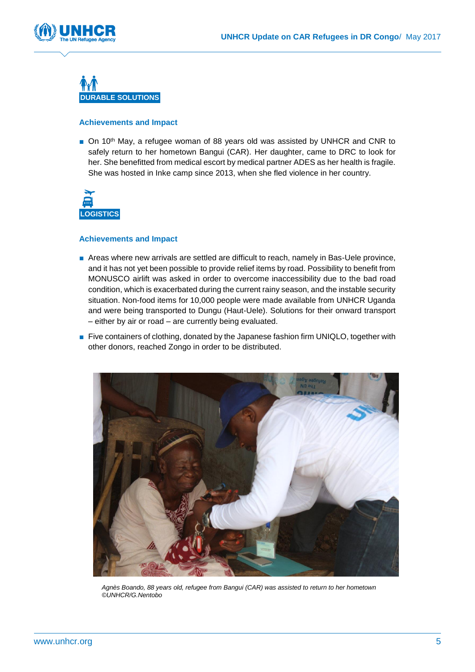



#### **Achievements and Impact**

■ On 10<sup>th</sup> May, a refugee woman of 88 years old was assisted by UNHCR and CNR to safely return to her hometown Bangui (CAR). Her daughter, came to DRC to look for her. She benefitted from medical escort by medical partner ADES as her health is fragile. She was hosted in Inke camp since 2013, when she fled violence in her country.



#### **Achievements and Impact**

- Areas where new arrivals are settled are difficult to reach, namely in Bas-Uele province, and it has not yet been possible to provide relief items by road. Possibility to benefit from MONUSCO airlift was asked in order to overcome inaccessibility due to the bad road condition, which is exacerbated during the current rainy season, and the instable security situation. Non-food items for 10,000 people were made available from UNHCR Uganda and were being transported to Dungu (Haut-Uele). Solutions for their onward transport – either by air or road – are currently being evaluated.
- Five containers of clothing, donated by the Japanese fashion firm UNIQLO, together with other donors, reached Zongo in order to be distributed.



*Agnès Boando, 88 years old, refugee from Bangui (CAR) was assisted to return to her hometown ©UNHCR/G.Nentobo*